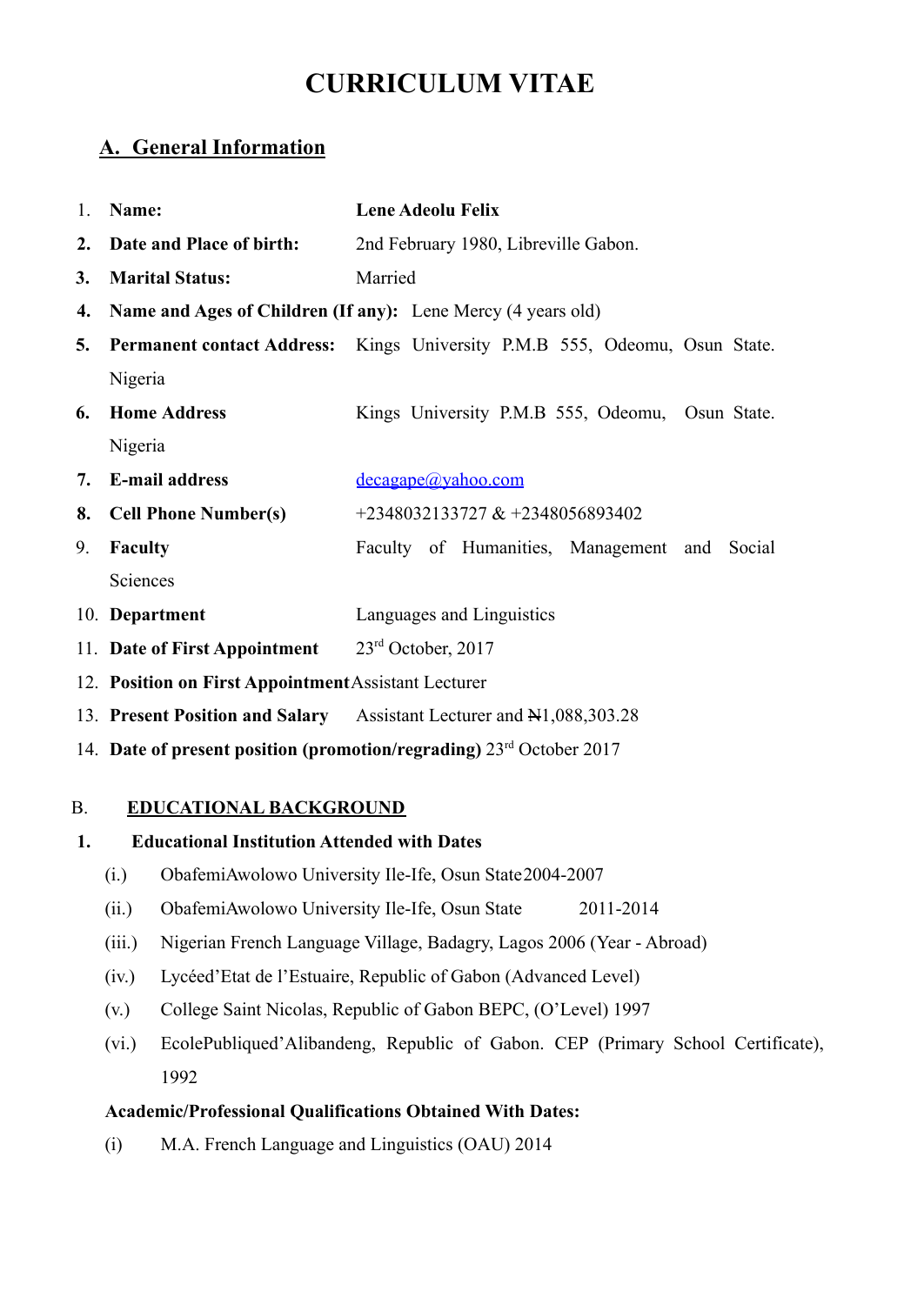# **CURRICULUM VITAE**

# **A. General Information**

| $\mathbf{1}$ | Name:                                                | <b>Lene Adeolu Felix</b>                                                   |  |  |
|--------------|------------------------------------------------------|----------------------------------------------------------------------------|--|--|
|              | 2. Date and Place of birth:                          | 2nd February 1980, Libreville Gabon.                                       |  |  |
| 3.           | <b>Marital Status:</b>                               | Married                                                                    |  |  |
| 4.           |                                                      | Name and Ages of Children (If any): Lene Mercy (4 years old)               |  |  |
| 5.           |                                                      | Permanent contact Address: Kings University P.M.B 555, Odeomu, Osun State. |  |  |
|              | Nigeria                                              |                                                                            |  |  |
|              | <b>6.</b> Home Address                               | Kings University P.M.B 555, Odeomu, Osun State.                            |  |  |
|              | Nigeria                                              |                                                                            |  |  |
|              | 7. E-mail address                                    | decagape@yahoo.com                                                         |  |  |
| 8.           | <b>Cell Phone Number(s)</b>                          | +2348032133727 & +2348056893402                                            |  |  |
| 9.           | <b>Faculty</b>                                       | Faculty of Humanities, Management and<br>Social                            |  |  |
|              | Sciences                                             |                                                                            |  |  |
|              | 10. Department                                       | Languages and Linguistics                                                  |  |  |
|              | 11. Date of First Appointment                        | $23rd$ October, 2017                                                       |  |  |
|              | 12. Position on First Appointment Assistant Lecturer |                                                                            |  |  |
|              | 13. Present Position and Salary                      | Assistant Lecturer and N1,088,303.28                                       |  |  |

14. **Date of present position (promotion/regrading)** 23rd October 2017

### B. **EDUCATIONAL BACKGROUND**

# **1. Educational Institution Attended with Dates**

- (i.) ObafemiAwolowo University Ile-Ife, Osun State2004-2007
- (ii.) ObafemiAwolowo University Ile-Ife, Osun State 2011-2014
- (iii.) Nigerian French Language Village, Badagry, Lagos 2006 (Year Abroad)
- (iv.) Lycéed'Etat de l'Estuaire, Republic of Gabon (Advanced Level)
- (v.) College Saint Nicolas, Republic of Gabon BEPC, (O'Level) 1997
- (vi.) EcolePubliqued'Alibandeng, Republic of Gabon. CEP (Primary School Certificate), 1992

### **Academic/Professional Qualifications Obtained With Dates:**

(i) M.A. French Language and Linguistics (OAU) 2014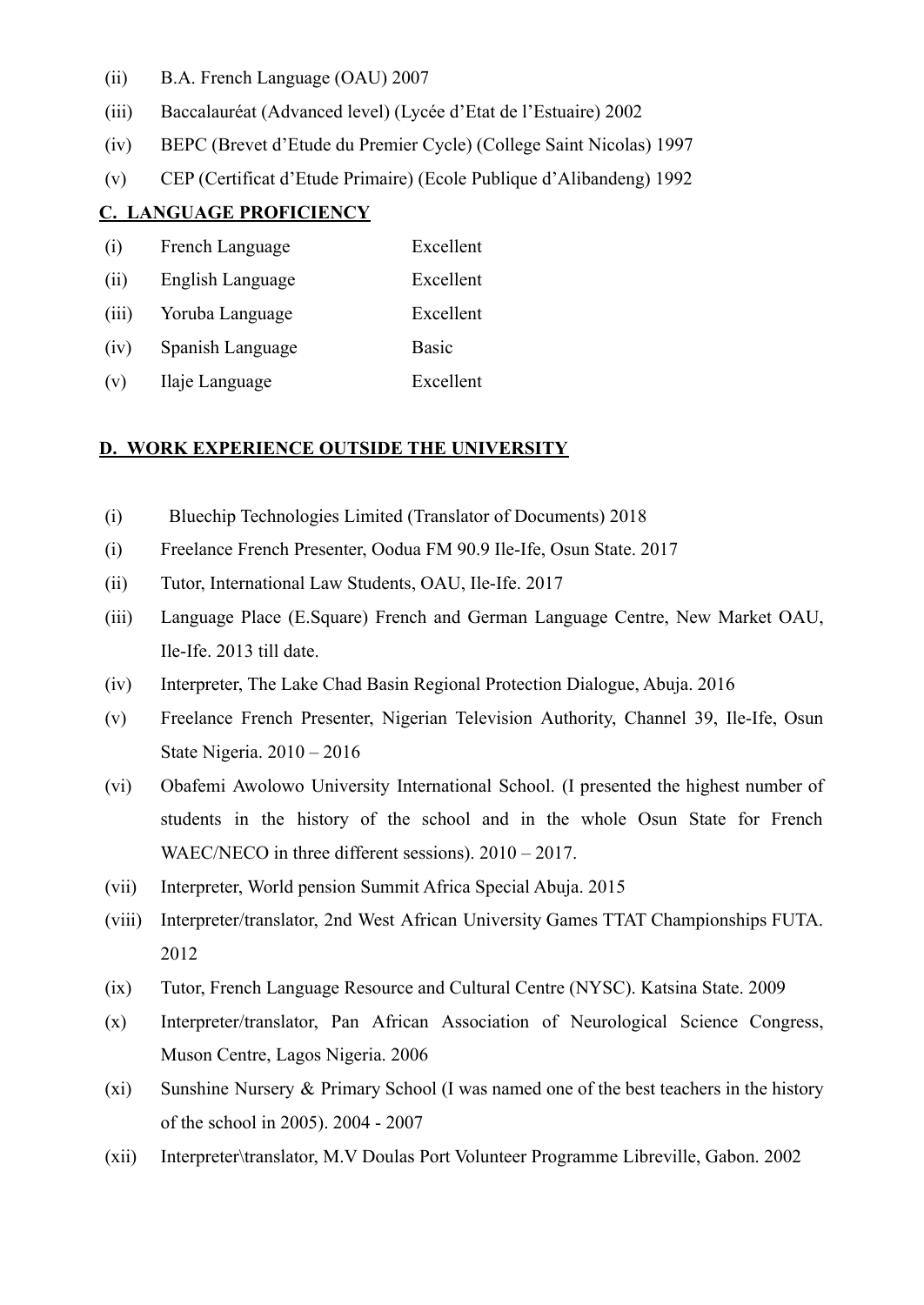- (ii) B.A. French Language (OAU) 2007
- (iii) Baccalauréat (Advanced level) (Lycée d'Etat de l'Estuaire) 2002
- (iv) BEPC (Brevet d'Etude du Premier Cycle) (College Saint Nicolas) 1997
- (v) CEP (Certificat d'Etude Primaire) (Ecole Publique d'Alibandeng) 1992

#### **C. LANGUAGE PROFICIENCY**

| (i)   | French Language  | Excellent    |
|-------|------------------|--------------|
| (ii)  | English Language | Excellent    |
| (iii) | Yoruba Language  | Excellent    |
| (iv)  | Spanish Language | <b>Basic</b> |
| (v)   | Ilaje Language   | Excellent    |

#### **D. WORK EXPERIENCE OUTSIDE THE UNIVERSITY**

- (i) Bluechip Technologies Limited (Translator of Documents) 2018
- (i) Freelance French Presenter, Oodua FM 90.9 Ile-Ife, Osun State. 2017
- (ii) Tutor, International Law Students, OAU, Ile-Ife. 2017
- (iii) Language Place (E.Square) French and German Language Centre, New Market OAU, Ile-Ife. 2013 till date.
- (iv) Interpreter, The Lake Chad Basin Regional Protection Dialogue, Abuja. 2016
- (v) Freelance French Presenter, Nigerian Television Authority, Channel 39, Ile-Ife, Osun State Nigeria. 2010 – 2016
- (vi) Obafemi Awolowo University International School. (I presented the highest number of students in the history of the school and in the whole Osun State for French WAEC/NECO in three different sessions). 2010 – 2017.
- (vii) Interpreter, World pension Summit Africa Special Abuja. 2015
- (viii) Interpreter/translator, 2nd West African University Games TTAT Championships FUTA. 2012
- (ix) Tutor, French Language Resource and Cultural Centre (NYSC). Katsina State. 2009
- (x) Interpreter/translator, Pan African Association of Neurological Science Congress, Muson Centre, Lagos Nigeria. 2006
- (xi) Sunshine Nursery & Primary School (I was named one of the best teachers in the history of the school in 2005). 2004 - 2007
- (xii) Interpreter\translator, M.V Doulas Port Volunteer Programme Libreville, Gabon. 2002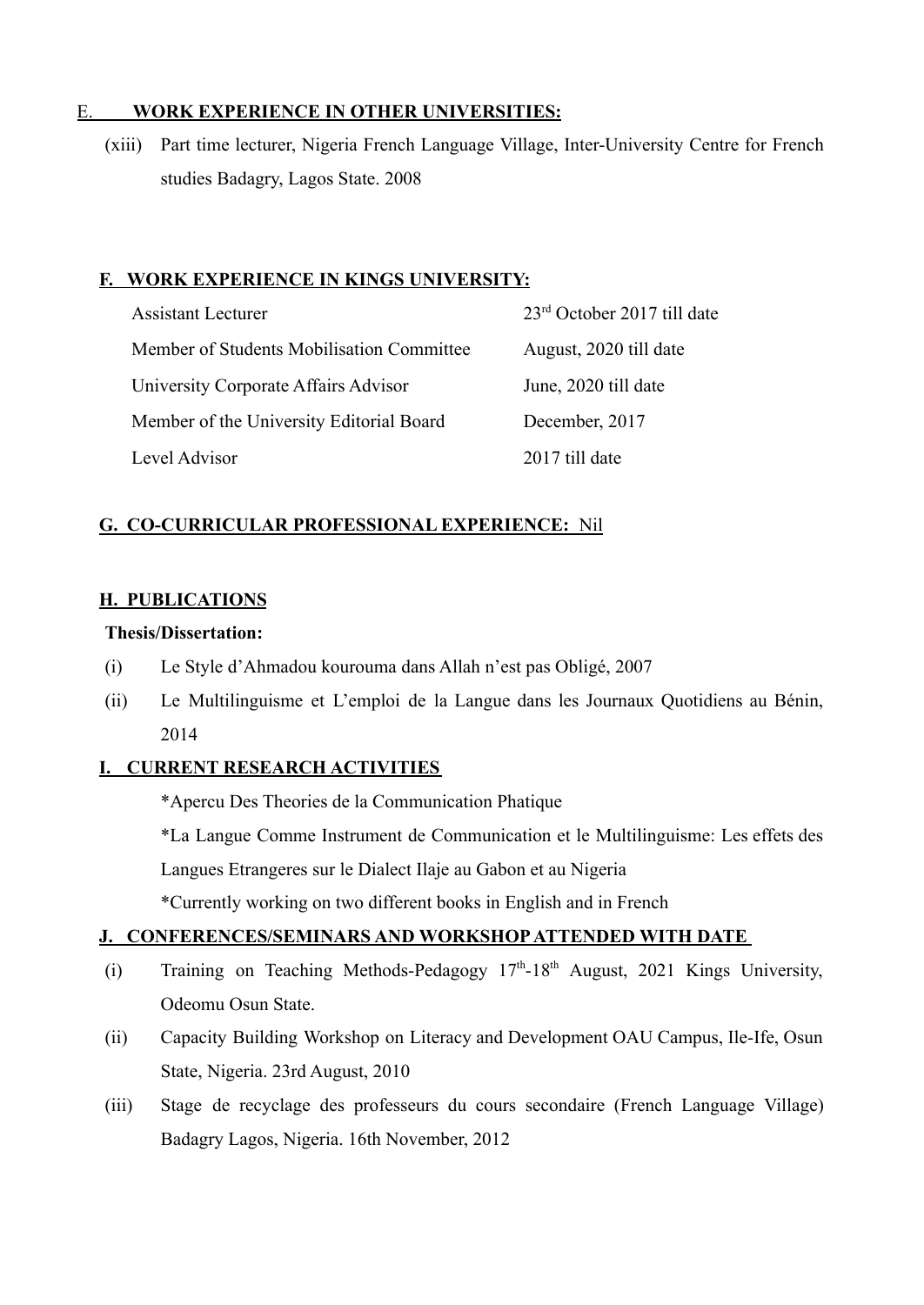### E. **WORK EXPERIENCE IN OTHER UNIVERSITIES:**

(xiii) Part time lecturer, Nigeria French Language Village, Inter-University Centre for French studies Badagry, Lagos State. 2008

## **F. WORK EXPERIENCE IN KINGS UNIVERSITY:**

| <b>Assistant Lecturer</b>                 | 23 <sup>rd</sup> October 2017 till date |
|-------------------------------------------|-----------------------------------------|
| Member of Students Mobilisation Committee | August, 2020 till date                  |
| University Corporate Affairs Advisor      | June, 2020 till date                    |
| Member of the University Editorial Board  | December, 2017                          |
| Level Advisor                             | 2017 till date                          |

# **G. CO-CURRICULAR PROFESSIONAL EXPERIENCE:** Nil

### **H. PUBLICATIONS**

#### **Thesis/Dissertation:**

- (i) Le Style d'Ahmadou kourouma dans Allah n'est pas Obligé, 2007
- (ii) Le Multilinguisme et L'emploi de la Langue dans les Journaux Quotidiens au Bénin, 2014

# **I. CURRENT RESEARCH ACTIVITIES**

\*Apercu Des Theories de la Communication Phatique

\*La Langue Comme Instrument de Communication et le Multilinguisme: Les effets des

Langues Etrangeres sur le Dialect Ilaje au Gabon et au Nigeria

\*Currently working on two different books in English and in French

# **J. CONFERENCES/SEMINARS AND WORKSHOPATTENDED WITH DATE**

- (i) Training on Teaching Methods-Pedagogy  $17<sup>th</sup>$ -18<sup>th</sup> August, 2021 Kings University, Odeomu Osun State.
- (ii) Capacity Building Workshop on Literacy and Development OAU Campus, Ile-Ife, Osun State, Nigeria. 23rd August, 2010
- (iii) Stage de recyclage des professeurs du cours secondaire (French Language Village) Badagry Lagos, Nigeria. 16th November, 2012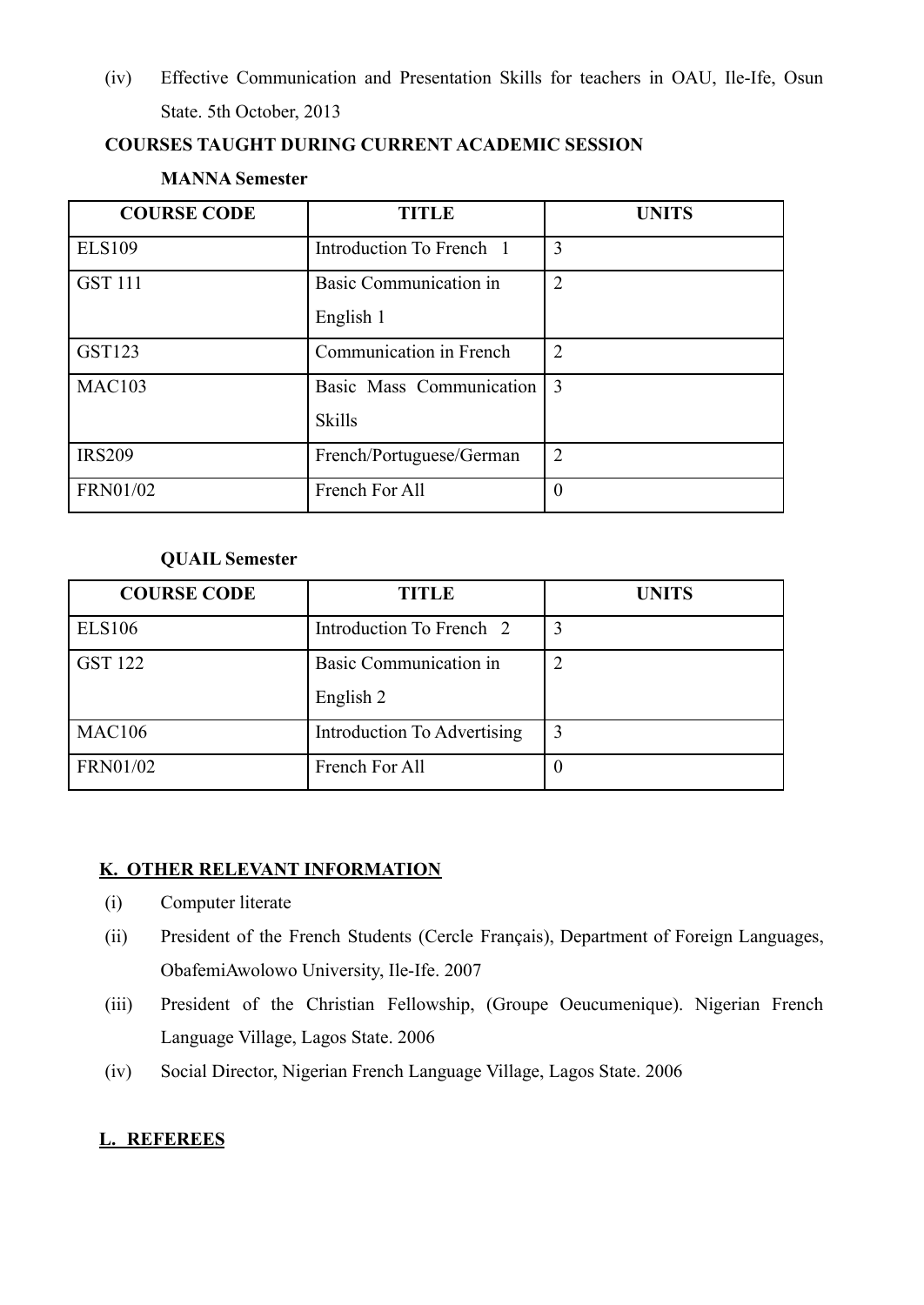(iv) Effective Communication and Presentation Skills for teachers in OAU, Ile-Ife, Osun State. 5th October, 2013

### **COURSES TAUGHT DURING CURRENT ACADEMIC SESSION**

#### **MANNA Semester**

| <b>COURSE CODE</b> | <b>TITLE</b>                                | <b>UNITS</b>   |
|--------------------|---------------------------------------------|----------------|
| <b>ELS109</b>      | Introduction To French 1                    | 3              |
| <b>GST 111</b>     | <b>Basic Communication in</b><br>English 1  | $\overline{2}$ |
| <b>GST123</b>      | Communication in French                     | $\mathcal{L}$  |
| <b>MAC103</b>      | Basic Mass Communication 3<br><b>Skills</b> |                |
| <b>IRS209</b>      | French/Portuguese/German                    | $\overline{2}$ |
| <b>FRN01/02</b>    | French For All                              | $\theta$       |

#### **QUAIL Semester**

| <b>COURSE CODE</b> | TITLE                       | <b>UNITS</b> |
|--------------------|-----------------------------|--------------|
| <b>ELS106</b>      | Introduction To French 2    | 3            |
| <b>GST 122</b>     | Basic Communication in      |              |
|                    | English 2                   |              |
| <b>MAC106</b>      | Introduction To Advertising | 3            |
| <b>FRN01/02</b>    | French For All              |              |

### **K. OTHER RELEVANT INFORMATION**

- (i) Computer literate
- (ii) President of the French Students (Cercle Français), Department of Foreign Languages, ObafemiAwolowo University, Ile-Ife. 2007
- (iii) President of the Christian Fellowship, (Groupe Oeucumenique). Nigerian French Language Village, Lagos State. 2006
- (iv) Social Director, Nigerian French Language Village, Lagos State. 2006

# **L. REFEREES**